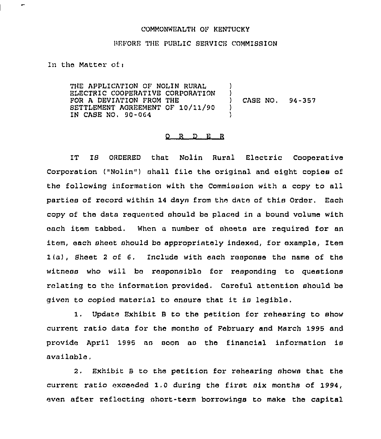## COMMONWEALTH OF KENTUCKY

## REFORE THE PURLIC SERVICE COMMISSION

ln the Matter of.'

THE APPLICATION OF NOLIN RURAL ELECTRIC COOPERATIVE CORPORATION FOR A DEVIATION FROM THE SETTLEMENT AGREEMENT OF 10/11/90 IN CASE NO, 90-0G4 ) ) CASE NO. 94-357 ) )

## 0 R <sup>D</sup> E <sup>R</sup>

IT 1S ORDERED that Nolin Rural Electric Cooperative Corporation ("Nolin") shall file the original and eight copies of the following information with the Commission with a copy to all parties of record within 14 dayn from the date of this Order. Each copy of the data requested should be placed in a bound volume with each item tabbed. When a number of sheets are required for an item, each sheet should be appropriately indexed, for example, Item 1(a), Sheet <sup>2</sup> of 6. Include with each response the name of the witness who will bo responsible for responding to questions relating to the information provided. Careful attention should be given to copied material to ensure that it is legible.

1. Update Exhibit <sup>8</sup> to the petition for rehearing to show current ratio data for the months of February and March 1995 and provide April 1999 as soon as the financial information is available,

2. Exhibit <sup>B</sup> to the petition for rehearing shows that the current ratio exceeded 1.0 during the first six months of 1994, even after reflecting short-term borrowings to make the capital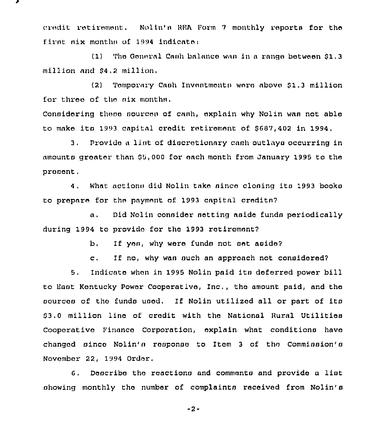credit retirement. Nolin's REA Form 7 monthly reports for the first six months of 1994 indicate:

(1) The General Cash balance was in a range between \$1.3 million and \$4.2 million.

 $(2)$ Temporary Cash Investments were above \$1.3 million for three of the six months.

Considering these sources of cash, explain why Nolin was not able to make its 1993 capital credit retirement of \$687,402 in 1994,

3. Provide a list of discretionary cash outlays occurring in amounts greater than \$5,000 for each month from January 1995 to the present.

4. What actions did Nolin take since closing its 1993 books to prepare for the payment of 1993 capital credits?

Did Nolin consider setting aside funds periodically  $\alpha$ . during 1994 to provide for the 1993 retirement?

> If yon, why were funds not set aside?  $b<sub>1</sub>$

If no, why was such an approach not considered?  $\mathbf{c}$ .

Indicate when in 1995 Nolin paid its deferred power bill  $5.7<sub>2</sub>$ to East Kentucky Power Cooperative, Inc., the amount paid, and the sources of the funds used. If Nolin utilized all or part of its \$3.0 million line of credit with the National Rural Utilities Cooperative Finance Corporation, explain what conditions have changed since Nolin's response to Item 3 of the Commission's November 22, 1994 Order.

6. Describe the reactions and comments and provide a list showing monthly the number of complaints received from Nolin's

 $-2-$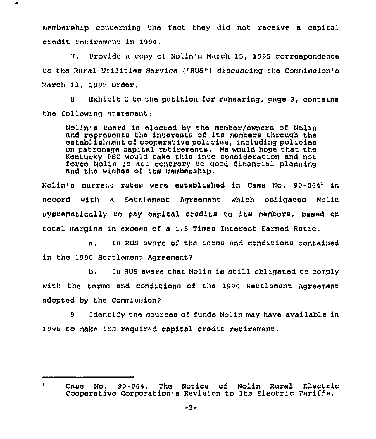membership concerning the fact they did not xeceive a capital credit retirement in 1994.

7. Provide a copy of Nolin's March 15, 1995 correspondence to the Rural Utilities Service ("RUS") discussing the Commission's March 13, 1995 Order,

8. Exhibit C to the petition for rehearing, page 3, contains tha following atatementi

Nolin's board is elected by the member/owners of Nolin and represents the interests of its members through the establishment of cooperative policies, including policies on patronage capital retirements. We would hope that the Kentucky PSC would take this into consideration and not force Nolin to act contrary to good financial planning and the wishes of its membership.

 $N$ olin's current rates were established in Case No. 90-064' in accord with a Settlement Agreement which obligates Nolin systematically to pay capital credits to its members, based on total margins in excess of a 1.5 Times Interest Earned Ratio.

a. In RUS aware of the terms and conditions contained in tho 1990 Settlement Agreement7

b. Is RUS aware that Nolin is still obligated to comply with the terms and conditions of the 1990 Settlement Agreement adopted by tho Commission7

9. Identify the sources of funds Nolin may have available in 1995 to make its required capital credit retirement.

 $\mathbf{1}$ Case No. 90-064, The Notice of Nolin Rural Electric Cooperative Corporation's Revision to Its Electric Tariffs.